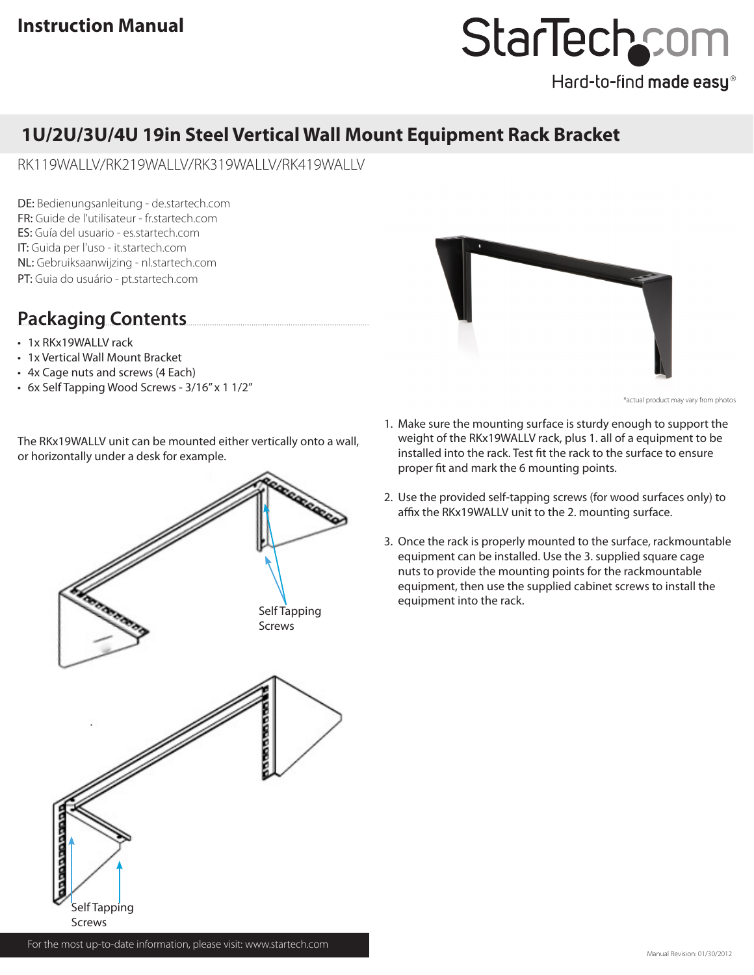# StarTechcom

Hard-to-find made easy®

### **1U/2U/3U/4U 19in Steel Vertical Wall Mount Equipment Rack Bracket**

RK119WALLV/RK219WALLV/RK319WALLV/RK419WALLV

DE: Bedienungsanleitung - de.startech.com FR: Guide de l'utilisateur - fr.startech.com ES: Guía del usuario - es.startech.com IT: Guida per l'uso - it.startech.com NL: Gebruiksaanwijzing - nl.startech.com PT: Guia do usuário - pt.startech.com

## **Packaging Contents**

- 1x RKx19WALLV rack
- • 1x Vertical Wall Mount Bracket
- • 4x Cage nuts and screws (4 Each)
- • 6x Self Tapping Wood Screws 3/16" x 1 1/2"

The RKx19WALLV unit can be mounted either vertically onto a wall, or horizontally under a desk for example.





\*actual product may vary from photos

- 1. Make sure the mounting surface is sturdy enough to support the weight of the RKx19WALLV rack, plus 1. all of a equipment to be installed into the rack. Test fit the rack to the surface to ensure proper fit and mark the 6 mounting points.
- 2. Use the provided self-tapping screws (for wood surfaces only) to affix the RKx19WALLV unit to the 2. mounting surface.
- 3. Once the rack is properly mounted to the surface, rackmountable equipment can be installed. Use the 3. supplied square cage nuts to provide the mounting points for the rackmountable equipment, then use the supplied cabinet screws to install the equipment into the rack.